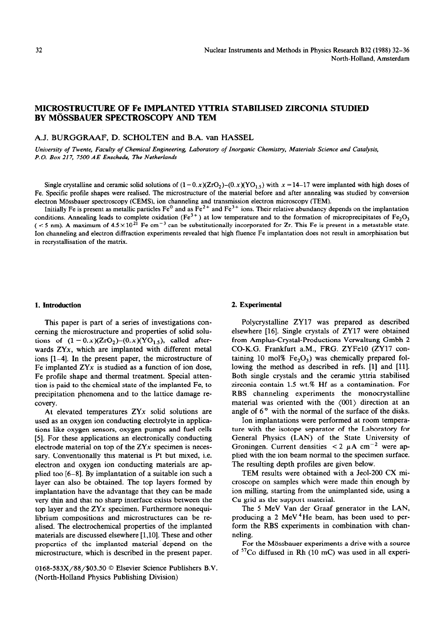# **MICROSTRUCTURE OF Fe IMPLANTED YTIRIA STABILISED ZIRCONIA STUDIED BY MÖSSBAUER SPECTROSCOPY AND TEM**

## A.J. BURGGRAAF, D. SCHOLTEN and B.A. van HASSEL

*University of Twente, Faculty of Chemical Engineering, Laboratory of Inorganic Chemistry, Materials Science and Catalysis, P. 0. Box 217, 7500 AE Enschede, The Netherlands* 

Single crystalline and ceramic solid solutions of  $(1-0.x)(ZrO<sub>2</sub>)-(0.x)(YO<sub>1.5</sub>)$  with  $x = 14-17$  were implanted with high doses of Fe. Specific profile shapes were realised. The microstructure of the material before and after annealing was studied by conversion electron Mossbauer spectroscopy (CEMS), ion channeling and transmission electron microscopy (TEM).

Initially Fe is present as metallic particles  $Fe^0$  and as  $Fe^{2+}$  and  $Fe^{3+}$  ions. Their relative abundancy depends on the implantation conditions. Annealing leads to complete oxidation (Fe<sup>3+</sup>) at low temperature and to the formation of microprecipitates of Fe<sub>2</sub>O<sub>3</sub> ( $<$  5 nm). A maximum of  $4.5 \times 10^{21}$  Fe cm<sup>-3</sup> can be substitutionally incorporated for Zr. This Fe is present in a metastable state. Ion channeling and electron diffraction experiments revealed that high fluence Fe implantation does not result in amorphisation but in recrystallisation of the matrix.

#### **1. Introduction**

This paper is part of a series of investigations concerning the microstructure and properties of solid solutions of  $(1 - 0.x)(ZrO<sub>2</sub>)-(0.x)(YO<sub>1.5</sub>)$ , called afterwards ZYx, which are implanted with different metal ions [l-4]. In the present paper, the microstructure of Fe implanted  $ZYx$  is studied as a function of ion dose, Fe profile shape and thermal treatment. Special attention is paid to the chemical state of the implanted Fe, to precipitation phenomena and to the lattice damage recovery.

At elevated temperatures  $ZYx$  solid solutions are used as an oxygen ion conducting electrolyte in applications like oxygen sensors, oxygen pumps and fuel cells [5]. For these applications an electronically conducting electrode material on top of the  $ZYx$  specimen is necessary. Conventionally this material is Pt but mixed, i.e. electron and oxygen ion conducting materials are applied too [6-81. By implantation of a suitable ion such a layer can also be obtained. The top layers formed by implantation have the advantage that they can be made very thin and that no sharp interface exists between the top layer and the ZYx specimen. Furthermore nonequilibrium compositions and microstructures can be realised. The electrochemical properties of the implanted materials are discussed elsewhere  $[1,10]$ . These and other properties of the implanted material 'depend on the microstructure, which is described in the present paper.

0168-583X/88/\$03.50 0 Elsevier Science Publishers B.V. (North-Holland Physics Publishing Division)

## 2. **Experimental**

Polycrystalline ZY17 was prepared as described elsewhere [16]. Single crystals of ZY17 were obtained from Amplus-Crystal-Productions Verwaltung Gmbh 2 CO-K.G. Frankfurt a.M., FRG. ZYFelO (ZY17 containing 10 mol%  $Fe<sub>2</sub>O<sub>3</sub>$ ) was chemically prepared following the method as described in refs. [1] and [11]. Both single crystals and the ceramic yttria stabilised zirconia contain 1.5 wt.% Hf as a contamination. For RBS channeling experiments the monocrystalline material was oriented with the (001) direction at an angle of  $6^\circ$  with the normal of the surface of the disks.

Ion implantations were performed at room temperature with the isotope separator of the Laboratory for General Physics (LAN) of the State University of Groningen. Current densities  $\langle 2 \mu A \text{ cm}^{-2} \text{ were ap-} \rangle$ plied with the ion beam normal to the specimen surface. The resulting depth profiles are given below.

TEM results were obtained with a Jeol-200 CX microscope on samples which were made thin enough by ion milling, starting from the unimplanted side, using a Cu grid as the support material.

The 5 MeV Van der Graaf generator in the LAN, producing a 2 MeV 4 He beam, has been used to perform the RBS experiments in combination with channeling.

For the Mössbauer experiments a drive with a source of  $57$ Co diffused in Rh (10 mC) was used in all experi-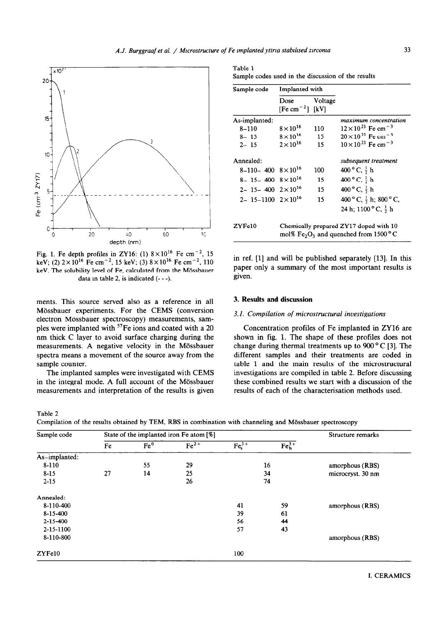

Fig. 1. Fe depth profiles in ZY16: (1)  $8 \times 10^{16}$  Fe cm<sup>-2</sup>, 15 keV; (2)  $2 \times 10^{16}$  Fe cm<sup>-2</sup>, 15 keV; (3)  $8 \times 10^{16}$  Fe cm<sup>-2</sup>, 110 keV. The solubility level of Fe, calculated from the Mössbauer data in table 2, is indicated  $(- -)$ .

merits. This source served also as a reference in all Mössbauer experiments. For the CEMS (conversion electron Mössbauer spectroscopy) measurements, samples were implanted with <sup>57</sup>Fe ions and coated with a 20 nm thick C layer to avoid surface charging during the measurements. A negative velocity in the Mössbauer spectra means a movement of the source away from the sample counter.

The implanted samples were investigated with CEMS in the integral mode. A full account of the Mössbauer measurements and interpretation of the results is given

Table 2

| Table 1 |                                                    |
|---------|----------------------------------------------------|
|         | Sample codes used in the discussion of the results |

| Sample code                           | Implanted with                      |         |                                                                                  |
|---------------------------------------|-------------------------------------|---------|----------------------------------------------------------------------------------|
|                                       | Dose<br>[Fe cm <sup>-2</sup> ] [kV] | Voltage |                                                                                  |
| As-implanted:                         |                                     |         | maximum concentration                                                            |
| $8 - 110$                             | $8\times10^{16}$                    | 110     | $12 \times 10^{21}$ Fe cm <sup>-3</sup>                                          |
| $8 - 15$                              | $8 \times 10^{16}$                  | 15      | $20 \times 10^{21}$ Fe cm <sup>-3</sup>                                          |
| $2 - 15$                              | $2\times10^{16}$                    | 15      | $10 \times 10^{21}$ Fe cm <sup>-3</sup>                                          |
| Annealed:                             |                                     |         | subsequent treatment                                                             |
| $8-110-400$ $8\times10^{16}$          |                                     | 100     | 400 °C, $\frac{1}{2}$ h                                                          |
| $8-15-400$ $8\times10^{16}$           |                                     | 15      | 400 ° C, $\frac{1}{2}$ h                                                         |
| $2 - 15 - 400 \quad 2 \times 10^{16}$ |                                     | 15      | $400^{\circ}$ C, $\frac{1}{2}$ h                                                 |
| $2 - 15 - 1100 + 2 \times 10^{16}$    |                                     | 15      | 400 °C, $\frac{1}{2}$ h; 800 °C,                                                 |
|                                       |                                     |         | 24 h; 1100 °C, $\frac{1}{2}$ h                                                   |
| ZYFe10                                |                                     |         | Chemically prepared ZY17 doped with 10<br>mol% $Fe2O3$ and quenched from 1500 °C |

in ref. (11 and will be published separately [13]. In this paper only a summary of the most important results is given.

### 3. **Results and discussion**

### **3.1.** *Compilation of microstructural investigations*

Concentration profiles of Fe implanted in ZY16 are shown in fig. 1. The shape of these profiles does not change during thermal treatments up to  $900\degree$ C [3]. The different samples and their treatments are coded in table 1 and the main results of the microstructural investigations are compiled in table 2. Before discussing these combined results we start with a discussion of the results of each of the characterisation methods used.

Compilation of the results obtained by TEM, RBS in combination with channeling and Mossbauer spectroscopy

| Sample code    | State of the implanted iron Fe atom [%] |                 |        |         |         | Structure remarks |
|----------------|-----------------------------------------|-----------------|--------|---------|---------|-------------------|
|                | Fe                                      | Fe <sup>0</sup> | $Fe2+$ | $Fes3+$ | $Feh3+$ |                   |
| As-implanted:  |                                         |                 |        |         |         |                   |
| 8-110          |                                         | 55              | 29     |         | 16      | amorphous (RBS)   |
| $8 - 15$       | 27                                      | 14              | 25     | 34      |         | microcryst. 30 nm |
| $2 - 15$       |                                         |                 | 26     |         | 74      |                   |
| Annealed:      |                                         |                 |        |         |         |                   |
| 8-110-400      |                                         |                 |        | 41      | 59      | amorphous (RBS)   |
| 8-15-400       |                                         |                 |        | 39      | 61      |                   |
| $2 - 15 - 400$ |                                         |                 |        | 56      | 44      |                   |
| 2-15-1100      |                                         |                 |        | 57      | 43      |                   |
| 8-110-800      |                                         |                 |        |         |         | amorphous (RBS)   |
| ZYFe10         |                                         |                 |        | 100     |         |                   |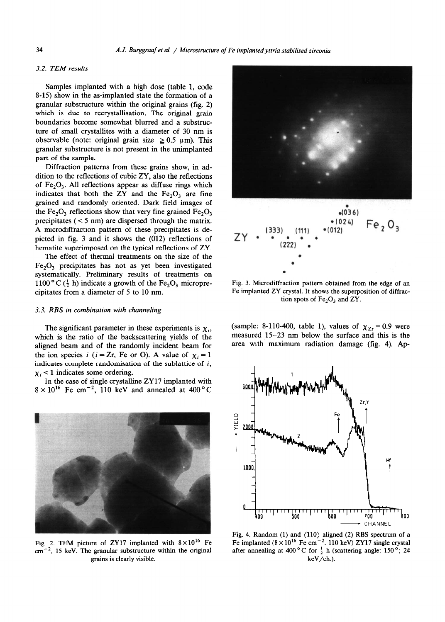## 3.2. *TEM results*

Samples implanted with a high dose (table 1, code 8-15) show in the as-implanted state the formation of a granular substructure within the original grains (fig. 2) which is due to recrystallisation. The original grain boundaries become somewhat blurred and a substructure of small crystallites with a diameter of 30 nm is observable (note: original grain size  $\geq 0.5$   $\mu$ m). This granular substructure is not present in the unimplanted part of the sample.

Diffraction patterns from these grains show, in addition to the reflections of cubic ZY, also the reflections of  $Fe<sub>2</sub>O<sub>3</sub>$ . All reflections appear as diffuse rings which indicates that both the ZY and the  $Fe<sub>2</sub>O<sub>3</sub>$  are fine grained and randomly oriented. Dark field images of the Fe<sub>2</sub>O<sub>3</sub> reflections show that very fine grained Fe<sub>2</sub>O<sub>3</sub> precipitates  $(< 5$  nm) are dispersed through the matrix. A microdiffraction pattern of these precipitates is depicted in fig. 3 and it shows the (012) reflections of hematite superimposed on the typical reflections of ZY.

The effect of thermal treatments on the size of the  $Fe<sub>2</sub>O<sub>3</sub>$  precipitates has not as yet been investigated systematically. Preliminary results of treatments on 1100 ° C  $(\frac{1}{2}$  h) indicate a growth of the Fe<sub>2</sub>O<sub>3</sub> microprecipitates from a diameter of 5 to 10 nm.

#### 3.3. *RBS in combination with channeling*

The significant parameter in these experiments is  $\chi_i$ , which is the ratio of the backscattering yields of the aligned beam and of the randomly incident beam for the ion species i ( $i = Zr$ , Fe or O). A value of  $\chi_i = 1$ indicates complete randomisation of the sublattice of *i,*   $x_i$  < 1 indicates some ordering.

in the case of single crystalline ZY17 implanted with  $8 \times 10^{16}$  Fe cm<sup>-2</sup>, 110 keV and annealed at 400 °C



Fig. 2. TEM picture of ZY17 implanted with  $8 \times 10^{16}$  Fe  $cm^{-2}$ , 15 keV. The granular substructure within the original grains is clearly visible.



Fig. 3. Microdiffraction pattern obtained from the edge of an Fe implanted ZY crystal. It shows the superposition of diffraction spots of  $Fe<sub>2</sub>O<sub>3</sub>$  and ZY.

(sample: 8-110-400, table 1), values of  $\chi_{Z_r} = 0.9$  were measured 15-23 nm below the surface and this is the area with maximum radiation damage (fig. 4). Ap-



Fig. 4. Random (1) and  $\langle 110 \rangle$  aligned (2) RBS spectrum of a Fe implanted  $(8 \times 10^{16} \text{ Fe cm}^{-2}$ , 110 keV) ZY17 single crystal after annealing at 400 °C for  $\frac{1}{2}$  h (scattering angle: 150 °; 24 keV/ch.).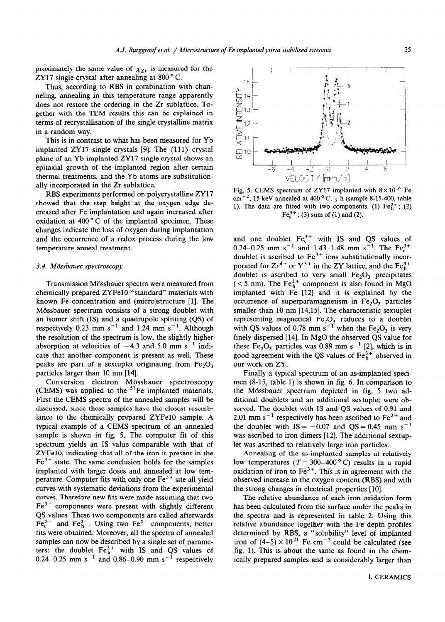proximately the same value of  $\chi_{Z_r}$  is measured for the ZY17 single crystal after annealing at  $800^{\circ}$  C.

Thus, according to RBS in combination with channeling, annealing in this temperature range apparently does not restore the ordering in the Zr sublattice. Together with the TEM results this can be explained in terms of recrystallisation of the single crystalline matrix in a random way.

This is in contrast to what has been measured for Yb implanted ZY17 single crystals [9]. The (111) crystal plane of an Yb implanted ZY17 single crystal shows an epitaxial growth of the implanted region after certain thermal treatments, and the Yb atoms are substitutionally incorporated in the Zr sublattice.

RBS experiments performed on polycrystalline ZY17 showed that the step height at the oxygen edge decreased after Fe implantation and again increased after oxidation at  $400^{\circ}$ C of the implanted specimen. These changes indicate the loss of oxygen during implantation and the occurrence of a redox process during the low temperature anneal treatment.

### 3.4. *Mijssbauer spectroscopy*

Transmission Mössbauer spectra were measured from chemically prepared ZYFelO "standard" materials with known Fe concentration and (micro)structure [l]. The Mössbauer spectrum consists of a strong doublet with an isomer shift (IS) and a quadrupole splitting (QS) of respectively 0.23 mm  $s^{-1}$  and 1.24 mm  $s^{-1}$ . Although the resolution of the spectrum is low, the slightly higher absorption at velocities of  $-4.3$  and 5.0 mm s<sup>-1</sup> indicate that another component is present as well. These peaks are part of a sextuplet originating from  $Fe<sub>2</sub>O<sub>3</sub>$ particles larger than 10 nm [14].

Conversion electron Mössbauer spectroscopy (CEMS) was applied to the  $57$ Fe implanted materials. First the CEMS spectra of the annealed samples will be discussed, since these samples have the closest resemblance to the chemically prepared ZYFe10 sample. A typical example of a CEMS spectrum of an annealed sample is shown in fig. 5. The computer fit of this spectrum yields an IS value comparable with that of ZYFelO, indicating that all of the iron is present in the  $Fe<sup>3+</sup>$  state. The same conclusion holds for the samples implanted with larger doses and annealed at low temperature. Computer fits with only one  $Fe<sup>3+</sup>$  site all yield curves with systematic deviations from the experimental curves. Therefore new fits were made assuming that two  $Fe<sup>3+</sup>$  components were present with slightly different QS values. These two components are called afterwards  $Fe<sub>8</sub><sup>3+</sup>$  and  $Fe<sub>1</sub><sup>3+</sup>$ . Using two  $Fe<sup>3+</sup>$  components, better fits were obtained. Moreover, all the spectra of annealed samples can now be described by a single set of parameters: the doublet  $Fe<sub>h</sub><sup>3+</sup>$  with IS and QS values of 0.24–0.25 mm s<sup>-1</sup> and 0.86–0.90 mm s<sup>-1</sup> respectivel



Fig. 5. CEMS spectrum of ZY17 implanted with  $8 \times 10^{16}$  Fe  $cm^{-2}$ , 15 keV annealed at 400 °C,  $\frac{1}{2}$  h (sample 8-15-400, table 1). The data are fitted with two components. (1)  $Fe<sub>h</sub><sup>3+</sup>$ ; (2)  $Fe<sub>s</sub><sup>3+</sup>$ ; (3) sum of (1) and (2).

and one doublet  $Fe<sub>s</sub><sup>3+</sup>$  with IS and QS values of 0.24–0.25 mm s<sup>-1</sup> and 1.43–1.48 mm s<sup>-1</sup>. The Fe<sub>s</sub> doublet is ascribed to  $Fe<sup>3+</sup>$  ions substitutionally incorporated for  $Zr^{4+}$  or  $Y^{3+}$  in the ZY lattice, and the Fe $_{h}^{3+}$ doublet is ascribed to very small  $Fe<sub>2</sub>O<sub>3</sub>$  precipitates  $(< 5$  nm). The Fe $_{h}^{3+}$  component is also found in MgO implanted with Fe [12] and it is explained by the occurrence of superparamagnetism in  $Fe<sub>2</sub>O<sub>3</sub>$  particles smaller than 10 nm [14,15]. The characteristic sextuplet representing magnetical  $Fe<sub>2</sub>O<sub>3</sub>$  reduces to a double with QS values of 0.78 mm  $s^{-1}$  when the Fe<sub>2</sub>O<sub>3</sub> is very finely dispersed [14]. In MgO the observed QS value for these  $Fe<sub>2</sub>O<sub>3</sub>$  particles was 0.89 mm s<sup>-1</sup> [2], which is in good agreement with the QS values of  $Fe<sub>b</sub><sup>3+</sup>$  observed in our work on ZY.

Finally a typical spectrum of an as-implanted specimen (8-15, table 1) is shown in fig. 6. In comparison to the Mossbauer spectrum depicted in fig. 5 two additional doublets and an additional sextuplet were observed. The doublet with IS and QS values of 0.91 and 2.01 mm  $s^{-1}$  respectively has been ascribed to  $Fe^{2+}$  and the doublet with  $IS = -0.07$  and  $QS = 0.45$  mm s<sup>-1</sup> was ascribed to iron dimers [12]. The additional sextuplet was ascribed to relatively large iron particles.

Annealing of the as-implanted samples at relatively low temperatures ( $T = 300-400$  °C) results in a rapid oxidation of iron to  $Fe<sup>3+</sup>$ . This is in agreement with the observed increase in the oxygen content (RBS) and with the strong changes in electrical properties [10].

The relative abundance of each iron oxidation form has been calculated from the surface under the peaks in the spectra and is represented in table 2. Using this relative abundance together with the Fe depth profiles determined by RBS, a "solubility" level of implanted iron of  $(4-5) \times 10^{21}$  Fe cm<sup>-3</sup> could be calculated (see fig. 1). This is about the same as found in the chemically prepared samples and is considerably larger than